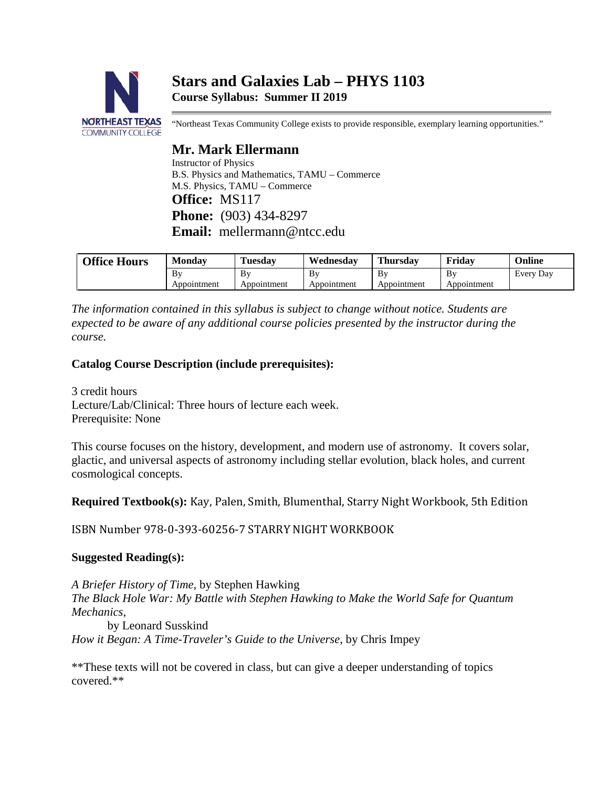# **Stars and Galaxies Lab – PHYS 1103 Course Syllabus: Summer II 2019**



"Northeast Texas Community College exists to provide responsible, exemplary learning opportunities."

## **Mr. Mark Ellermann**

Instructor of Physics B.S. Physics and Mathematics, TAMU – Commerce M.S. Physics, TAMU – Commerce **Office:** MS117 **Phone:** (903) 434-8297 **Email:** mellermann@ntcc.edu

| <b>Office Hours</b> | Monday            | l'uesdav          | Wednesday         | <b>Thursday</b>   | Fridav            | Online    |
|---------------------|-------------------|-------------------|-------------------|-------------------|-------------------|-----------|
|                     | Bv<br>Appointment | Bv<br>Appointment | Bv<br>Appointment | Bv<br>Appointment | Bv<br>Appointment | Every Day |

*The information contained in this syllabus is subject to change without notice. Students are expected to be aware of any additional course policies presented by the instructor during the course.*

## **Catalog Course Description (include prerequisites):**

3 credit hours Lecture/Lab/Clinical: Three hours of lecture each week. Prerequisite: None

This course focuses on the history, development, and modern use of astronomy. It covers solar, glactic, and universal aspects of astronomy including stellar evolution, black holes, and current cosmological concepts.

**Required Textbook(s):** Kay, Palen, Smith, Blumenthal, Starry Night Workbook, 5th Edition

ISBN Number 978-0-393-60256-7 STARRY NIGHT WORKBOOK

## **Suggested Reading(s):**

*A Briefer History of Time*, by Stephen Hawking *The Black Hole War: My Battle with Stephen Hawking to Make the World Safe for Quantum Mechanics*, by Leonard Susskind

*How it Began: A Time-Traveler's Guide to the Universe*, by Chris Impey

\*\*These texts will not be covered in class, but can give a deeper understanding of topics covered.\*\*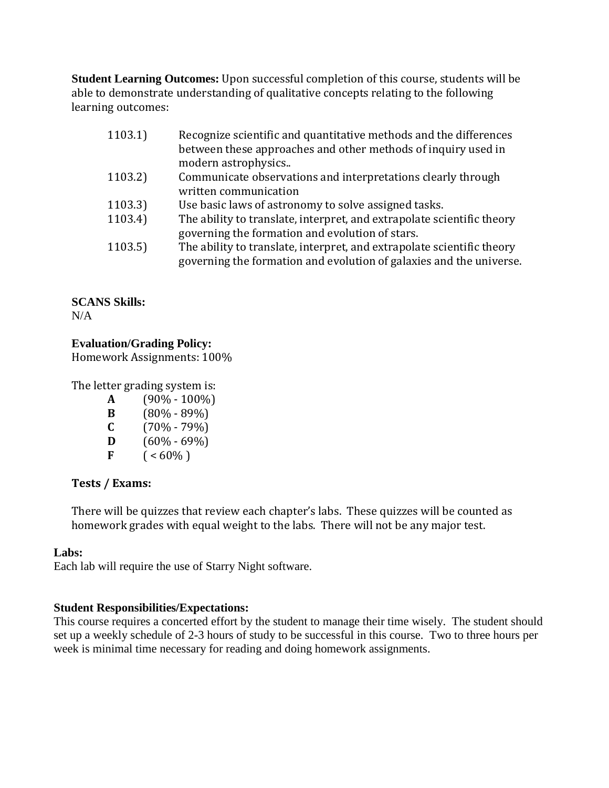**Student Learning Outcomes:** Upon successful completion of this course, students will be able to demonstrate understanding of qualitative concepts relating to the following learning outcomes:

| 1103.1) | Recognize scientific and quantitative methods and the differences                                                                             |
|---------|-----------------------------------------------------------------------------------------------------------------------------------------------|
|         | between these approaches and other methods of inquiry used in<br>modern astrophysics                                                          |
|         |                                                                                                                                               |
| 1103.2) | Communicate observations and interpretations clearly through                                                                                  |
|         | written communication                                                                                                                         |
| 1103.3) | Use basic laws of astronomy to solve assigned tasks.                                                                                          |
| 1103.4) | The ability to translate, interpret, and extrapolate scientific theory                                                                        |
|         | governing the formation and evolution of stars.                                                                                               |
| 1103.5) | The ability to translate, interpret, and extrapolate scientific theory<br>governing the formation and evolution of galaxies and the universe. |
|         |                                                                                                                                               |

**SCANS Skills:**  $N/A$ 

## **Evaluation/Grading Policy:**

Homework Assignments: 100%

The letter grading system is:

| A | $(90\% - 100\%)$ |
|---|------------------|
| B | $(80\% - 89\%)$  |
| C | $(70\% - 79\%)$  |
| D | $(60\% - 69\%)$  |
| F | $($ < 60%)       |

## **Tests / Exams:**

There will be quizzes that review each chapter's labs. These quizzes will be counted as homework grades with equal weight to the labs. There will not be any major test.

## **Labs:**

Each lab will require the use of Starry Night software.

## **Student Responsibilities/Expectations:**

This course requires a concerted effort by the student to manage their time wisely. The student should set up a weekly schedule of 2-3 hours of study to be successful in this course. Two to three hours per week is minimal time necessary for reading and doing homework assignments.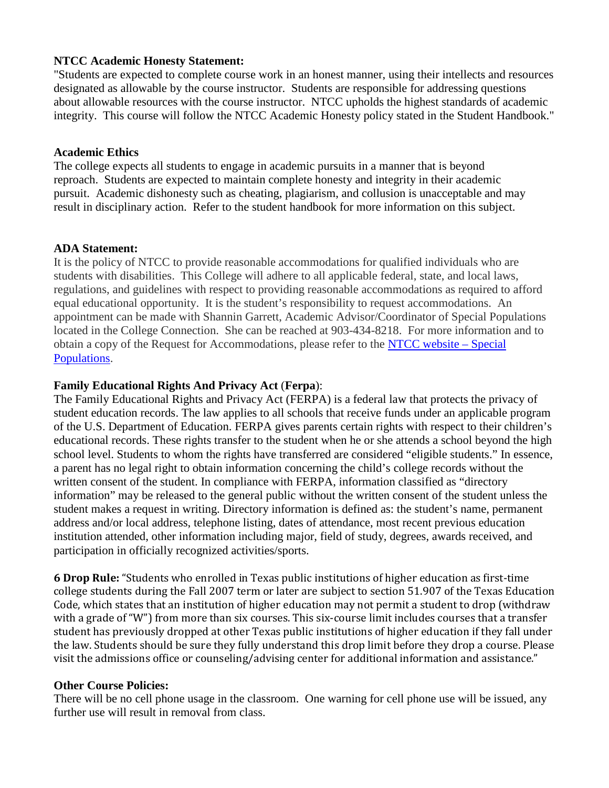#### **NTCC Academic Honesty Statement:**

"Students are expected to complete course work in an honest manner, using their intellects and resources designated as allowable by the course instructor. Students are responsible for addressing questions about allowable resources with the course instructor. NTCC upholds the highest standards of academic integrity. This course will follow the NTCC Academic Honesty policy stated in the Student Handbook."

#### **Academic Ethics**

The college expects all students to engage in academic pursuits in a manner that is beyond reproach. Students are expected to maintain complete honesty and integrity in their academic pursuit. Academic dishonesty such as cheating, plagiarism, and collusion is unacceptable and may result in disciplinary action. Refer to the student handbook for more information on this subject.

#### **ADA Statement:**

It is the policy of NTCC to provide reasonable accommodations for qualified individuals who are students with disabilities. This College will adhere to all applicable federal, state, and local laws, regulations, and guidelines with respect to providing reasonable accommodations as required to afford equal educational opportunity. It is the student's responsibility to request accommodations. An appointment can be made with Shannin Garrett, Academic Advisor/Coordinator of Special Populations located in the College Connection. She can be reached at 903-434-8218. For more information and to obtain a copy of the Request for Accommodations, please refer to the [NTCC website –](http://www.ntcc.edu/index.php?module=Pagesetter&func=viewpub&tid=111&pid=1) Special [Populations.](http://www.ntcc.edu/index.php?module=Pagesetter&func=viewpub&tid=111&pid=1)

## **Family Educational Rights And Privacy Act** (**Ferpa**):

The Family Educational Rights and Privacy Act (FERPA) is a federal law that protects the privacy of student education records. The law applies to all schools that receive funds under an applicable program of the U.S. Department of Education. FERPA gives parents certain rights with respect to their children's educational records. These rights transfer to the student when he or she attends a school beyond the high school level. Students to whom the rights have transferred are considered "eligible students." In essence, a parent has no legal right to obtain information concerning the child's college records without the written consent of the student. In compliance with FERPA, information classified as "directory information" may be released to the general public without the written consent of the student unless the student makes a request in writing. Directory information is defined as: the student's name, permanent address and/or local address, telephone listing, dates of attendance, most recent previous education institution attended, other information including major, field of study, degrees, awards received, and participation in officially recognized activities/sports.

**6 Drop Rule:** "Students who enrolled in Texas public institutions of higher education as first-time college students during the Fall 2007 term or later are subject to section 51.907 of the Texas Education Code, which states that an institution of higher education may not permit a student to drop (withdraw with a grade of "W") from more than six courses. This six-course limit includes courses that a transfer student has previously dropped at other Texas public institutions of higher education if they fall under the law. Students should be sure they fully understand this drop limit before they drop a course. Please visit the admissions office or counseling/advising center for additional information and assistance."

## **Other Course Policies:**

There will be no cell phone usage in the classroom. One warning for cell phone use will be issued, any further use will result in removal from class.